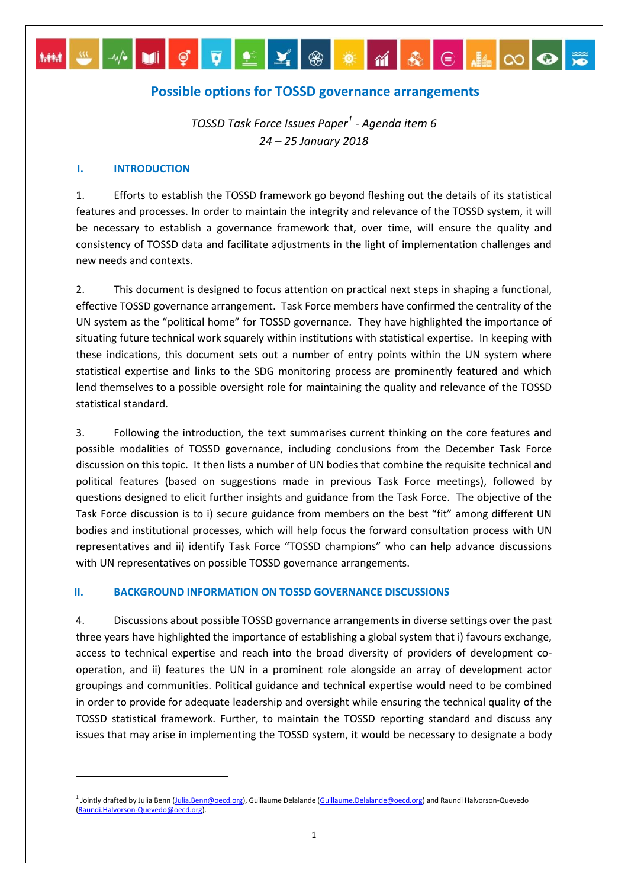# **Possible options for TOSSD governance arrangements**

M M Ç Q L Y ® \* M & © H © Q

*TOSSD Task Force Issues Paper<sup>1</sup> - Agenda item 6 24 – 25 January 2018*

### **I. INTRODUCTION**

**MM** 

**.** 

1. Efforts to establish the TOSSD framework go beyond fleshing out the details of its statistical features and processes. In order to maintain the integrity and relevance of the TOSSD system, it will be necessary to establish a governance framework that, over time, will ensure the quality and consistency of TOSSD data and facilitate adjustments in the light of implementation challenges and new needs and contexts.

2. This document is designed to focus attention on practical next steps in shaping a functional, effective TOSSD governance arrangement. Task Force members have confirmed the centrality of the UN system as the "political home" for TOSSD governance. They have highlighted the importance of situating future technical work squarely within institutions with statistical expertise. In keeping with these indications, this document sets out a number of entry points within the UN system where statistical expertise and links to the SDG monitoring process are prominently featured and which lend themselves to a possible oversight role for maintaining the quality and relevance of the TOSSD statistical standard.

3. Following the introduction, the text summarises current thinking on the core features and possible modalities of TOSSD governance, including conclusions from the December Task Force discussion on this topic. It then lists a number of UN bodies that combine the requisite technical and political features (based on suggestions made in previous Task Force meetings), followed by questions designed to elicit further insights and guidance from the Task Force. The objective of the Task Force discussion is to i) secure guidance from members on the best "fit" among different UN bodies and institutional processes, which will help focus the forward consultation process with UN representatives and ii) identify Task Force "TOSSD champions" who can help advance discussions with UN representatives on possible TOSSD governance arrangements.

## **II. BACKGROUND INFORMATION ON TOSSD GOVERNANCE DISCUSSIONS**

4. Discussions about possible TOSSD governance arrangements in diverse settings over the past three years have highlighted the importance of establishing a global system that i) favours exchange, access to technical expertise and reach into the broad diversity of providers of development cooperation, and ii) features the UN in a prominent role alongside an array of development actor groupings and communities. Political guidance and technical expertise would need to be combined in order to provide for adequate leadership and oversight while ensuring the technical quality of the TOSSD statistical framework. Further, to maintain the TOSSD reporting standard and discuss any issues that may arise in implementing the TOSSD system, it would be necessary to designate a body

<sup>&</sup>lt;sup>1</sup> Jointly drafted by Julia Benn [\(Julia.Benn@oecd.org\)](mailto:Julia.Benn@oecd.org), Guillaume Delalande (Guillaume.Delalande@oecd.org) and Raundi Halvorson-Quevedo [\(Raundi.Halvorson-Quevedo@oecd.org\).](mailto:Raundi.Halvorson-Quevedo@oecd.org)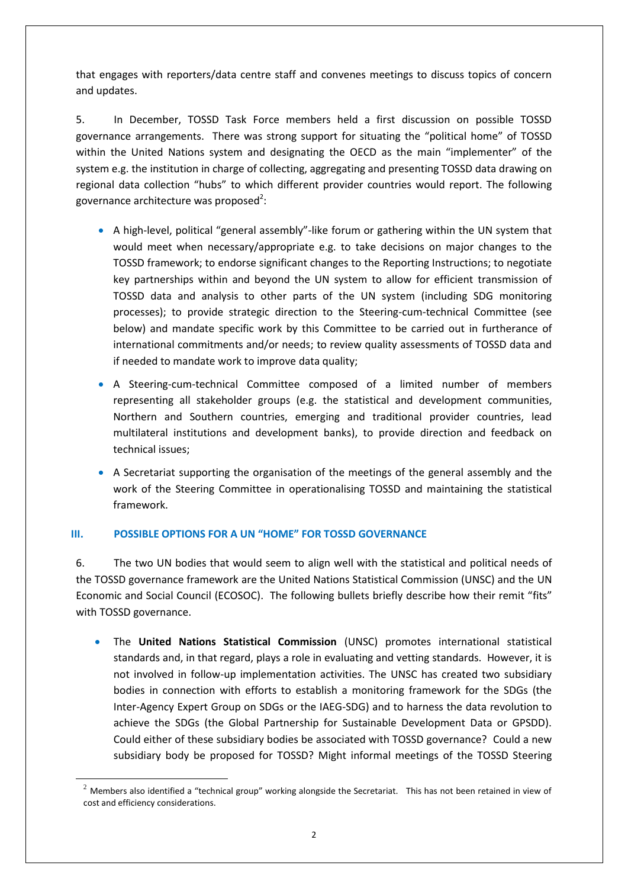that engages with reporters/data centre staff and convenes meetings to discuss topics of concern and updates.

5. In December, TOSSD Task Force members held a first discussion on possible TOSSD governance arrangements. There was strong support for situating the "political home" of TOSSD within the United Nations system and designating the OECD as the main "implementer" of the system e.g. the institution in charge of collecting, aggregating and presenting TOSSD data drawing on regional data collection "hubs" to which different provider countries would report. The following governance architecture was proposed<sup>2</sup>:

- A high-level, political "general assembly"-like forum or gathering within the UN system that would meet when necessary/appropriate e.g. to take decisions on major changes to the TOSSD framework; to endorse significant changes to the Reporting Instructions; to negotiate key partnerships within and beyond the UN system to allow for efficient transmission of TOSSD data and analysis to other parts of the UN system (including SDG monitoring processes); to provide strategic direction to the Steering-cum-technical Committee (see below) and mandate specific work by this Committee to be carried out in furtherance of international commitments and/or needs; to review quality assessments of TOSSD data and if needed to mandate work to improve data quality;
- A Steering-cum-technical Committee composed of a limited number of members representing all stakeholder groups (e.g. the statistical and development communities, Northern and Southern countries, emerging and traditional provider countries, lead multilateral institutions and development banks), to provide direction and feedback on technical issues;
- A Secretariat supporting the organisation of the meetings of the general assembly and the work of the Steering Committee in operationalising TOSSD and maintaining the statistical framework.

# **III. POSSIBLE OPTIONS FOR A UN "HOME" FOR TOSSD GOVERNANCE**

**.** 

6. The two UN bodies that would seem to align well with the statistical and political needs of the TOSSD governance framework are the United Nations Statistical Commission (UNSC) and the UN Economic and Social Council (ECOSOC). The following bullets briefly describe how their remit "fits" with TOSSD governance.

 The **United Nations Statistical Commission** (UNSC) promotes international statistical standards and, in that regard, plays a role in evaluating and vetting standards. However, it is not involved in follow-up implementation activities. The UNSC has created two subsidiary bodies in connection with efforts to establish a monitoring framework for the SDGs (the Inter-Agency Expert Group on SDGs or the IAEG-SDG) and to harness the data revolution to achieve the SDGs (the Global Partnership for Sustainable Development Data or GPSDD). Could either of these subsidiary bodies be associated with TOSSD governance? Could a new subsidiary body be proposed for TOSSD? Might informal meetings of the TOSSD Steering

 $^2$  Members also identified a "technical group" working alongside the Secretariat. This has not been retained in view of cost and efficiency considerations.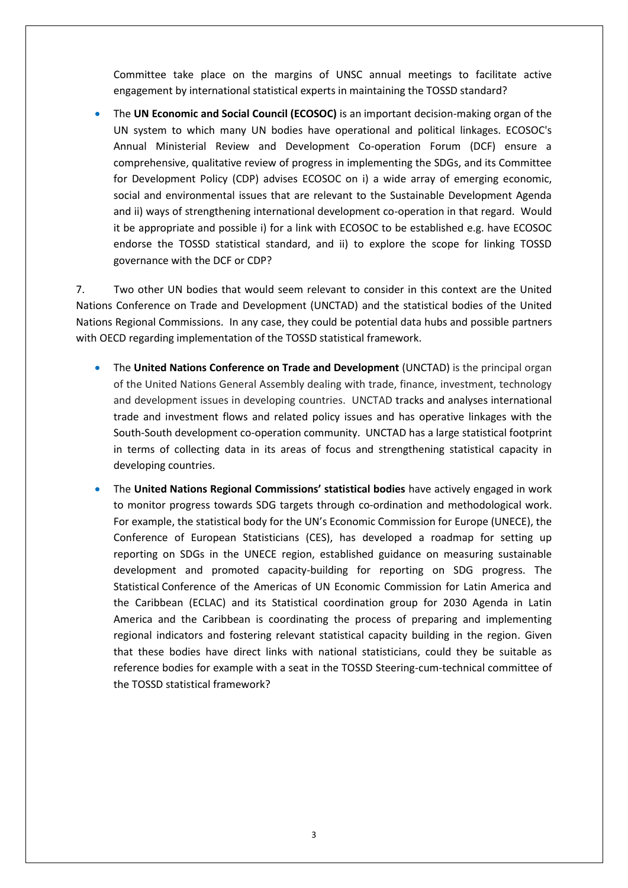Committee take place on the margins of UNSC annual meetings to facilitate active engagement by international statistical experts in maintaining the TOSSD standard?

 The **UN Economic and Social Council (ECOSOC)** is an important decision-making organ of the UN system to which many UN bodies have operational and political linkages. ECOSOC's Annual Ministerial Review and Development Co-operation Forum (DCF) ensure a comprehensive, qualitative review of progress in implementing the SDGs, and its Committee for Development Policy (CDP) advises ECOSOC on i) a wide array of emerging economic, social and environmental issues that are relevant to the Sustainable Development Agenda and ii) ways of strengthening international development co-operation in that regard. Would it be appropriate and possible i) for a link with ECOSOC to be established e.g. have ECOSOC endorse the TOSSD statistical standard, and ii) to explore the scope for linking TOSSD governance with the DCF or CDP?

7. Two other UN bodies that would seem relevant to consider in this context are the United Nations Conference on Trade and Development (UNCTAD) and the statistical bodies of the United Nations Regional Commissions. In any case, they could be potential data hubs and possible partners with OECD regarding implementation of the TOSSD statistical framework.

- The **United Nations Conference on Trade and Development** (UNCTAD) is the principal organ of the United Nations General Assembly dealing with trade, finance, investment, technology and development issues in developing countries. UNCTAD tracks and analyses international trade and investment flows and related policy issues and has operative linkages with the South-South development co-operation community. UNCTAD has a large statistical footprint in terms of collecting data in its areas of focus and strengthening statistical capacity in developing countries.
- The **United Nations Regional Commissions' statistical bodies** have actively engaged in work to monitor progress towards SDG targets through co-ordination and methodological work. For example, the statistical body for the UN's Economic Commission for Europe (UNECE), the Conference of European Statisticians (CES), has developed a roadmap for setting up reporting on SDGs in the UNECE region, established guidance on measuring sustainable development and promoted capacity-building for reporting on SDG progress. The Statistical Conference of the Americas of UN Economic Commission for Latin America and the Caribbean (ECLAC) and its Statistical coordination group for 2030 Agenda in Latin America and the Caribbean is coordinating the process of preparing and implementing regional indicators and fostering relevant statistical capacity building in the region. Given that these bodies have direct links with national statisticians, could they be suitable as reference bodies for example with a seat in the TOSSD Steering-cum-technical committee of the TOSSD statistical framework?